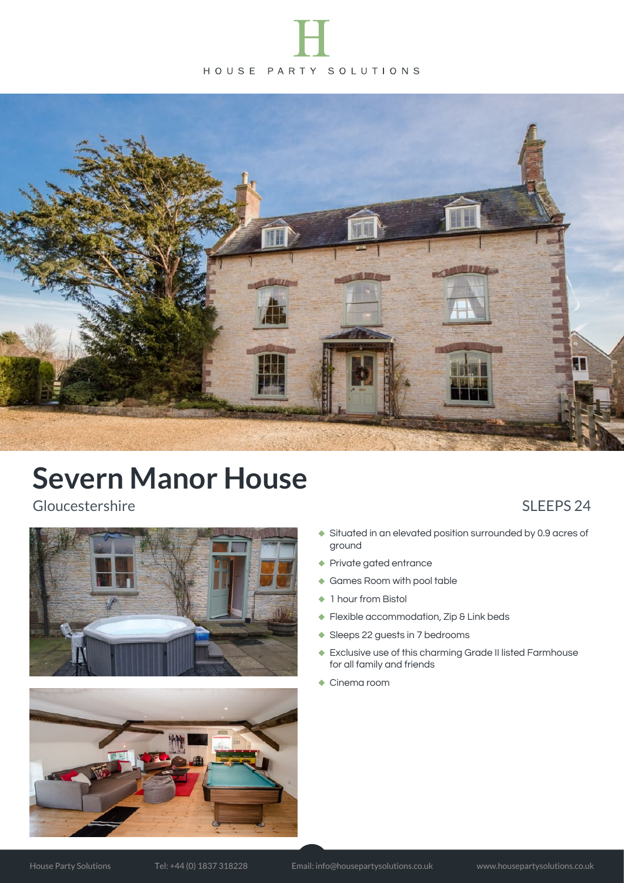



Gloucestershire SLEEPS 24





- Situated in an elevated position surrounded by 0.9 acres of ground
- Private gated entrance
- Games Room with pool table
- ◆ 1 hour from Bistol
- ◆ Flexible accommodation, Zip & Link beds
- ◆ Sleeps 22 guests in 7 bedrooms
- Exclusive use of this charming Grade II listed Farmhouse for all family and friends
- ◆ Cinema room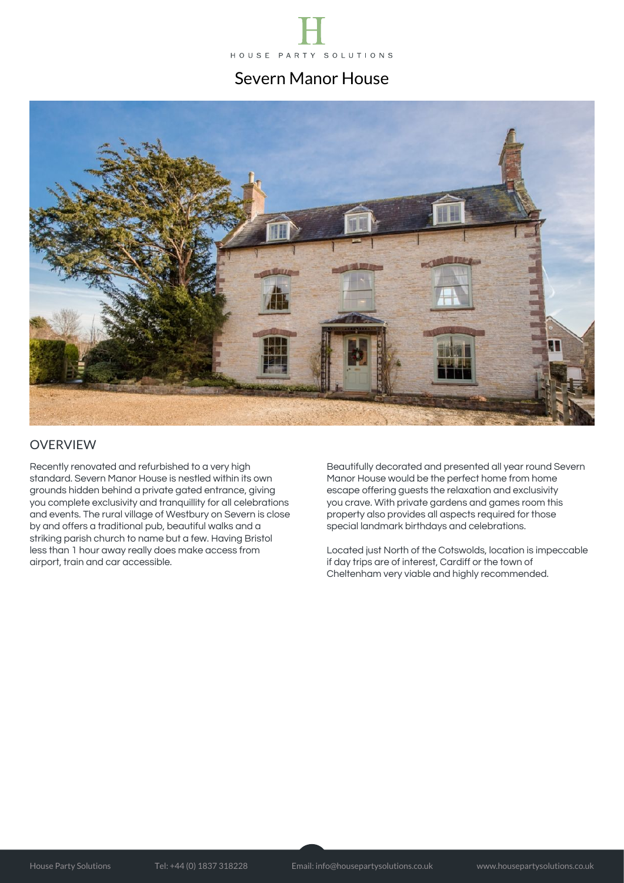



#### OVERVIEW

Recently renovated and refurbished to a very high standard. Severn Manor House is nestled within its own grounds hidden behind a private gated entrance, giving you complete exclusivity and tranquillity for all celebrations and events. The rural village of Westbury on Severn is close by and offers a traditional pub, beautiful walks and a striking parish church to name but a few. Having Bristol less than 1 hour away really does make access from airport, train and car accessible.

Beautifully decorated and presented all year round Severn Manor House would be the perfect home from home escape offering guests the relaxation and exclusivity you crave. With private gardens and games room this property also provides all aspects required for those special landmark birthdays and celebrations.

Located just North of the Cotswolds, location is impeccable if day trips are of interest, Cardiff or the town of Cheltenham very viable and highly recommended.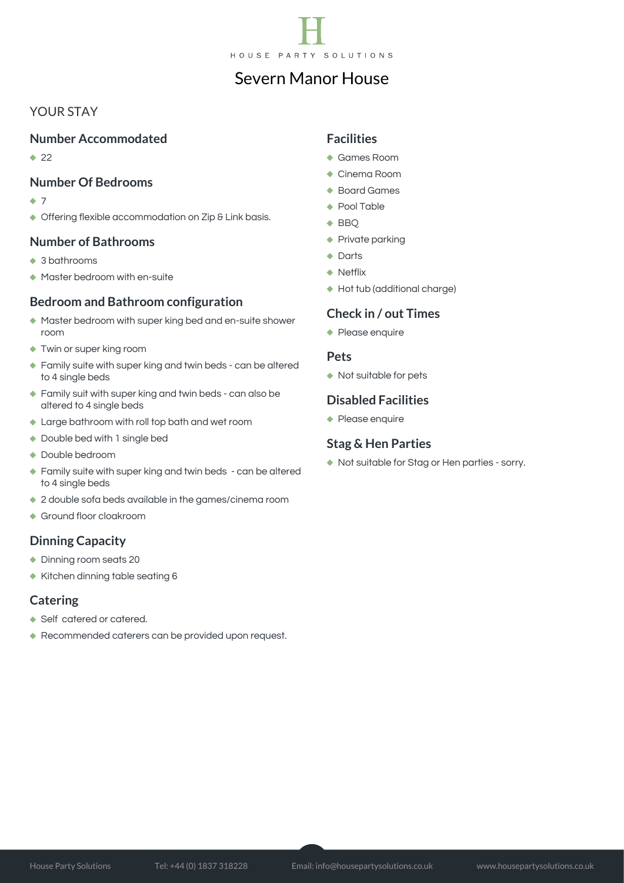

#### YOUR STAY

#### **Number Accommodated**

 $22$ 

#### **Number Of Bedrooms**

- $\bullet$  7
- ◆ Offering flexible accommodation on Zip & Link basis.

#### **Number of Bathrooms**

- ◆ 3 bathrooms
- Master bedroom with en-suite

#### **Bedroom and Bathroom configuration**

- Master bedroom with super king bed and en-suite shower room
- Twin or super king room
- ◆ Family suite with super king and twin beds can be altered to 4 single beds
- Family suit with super king and twin beds can also be altered to 4 single beds
- Large bathroom with roll top bath and wet room
- ◆ Double bed with 1 single bed
- Double bedroom
- ◆ Family suite with super king and twin beds can be altered to 4 single beds
- ◆ 2 double sofa beds available in the games/cinema room
- Ground floor cloakroom

#### **Dinning Capacity**

- ◆ Dinning room seats 20
- Kitchen dinning table seating 6

#### **Catering**

- ◆ Self catered or catered.
- Recommended caterers can be provided upon request.

#### **Facilities**

- Games Room
- ◆ Cinema Room
- Board Games
- ◆ Pool Table
- $\triangle$  BBQ
- ◆ Private parking
- ◆ Darts
- ◆ Netflix
- Hot tub (additional charge)

#### **Check in / out Times**

◆ Please enquire

#### **Pets**

◆ Not suitable for pets

#### **Disabled Facilities**

◆ Please enquire

#### **Stag & Hen Parties**

◆ Not suitable for Stag or Hen parties - sorry.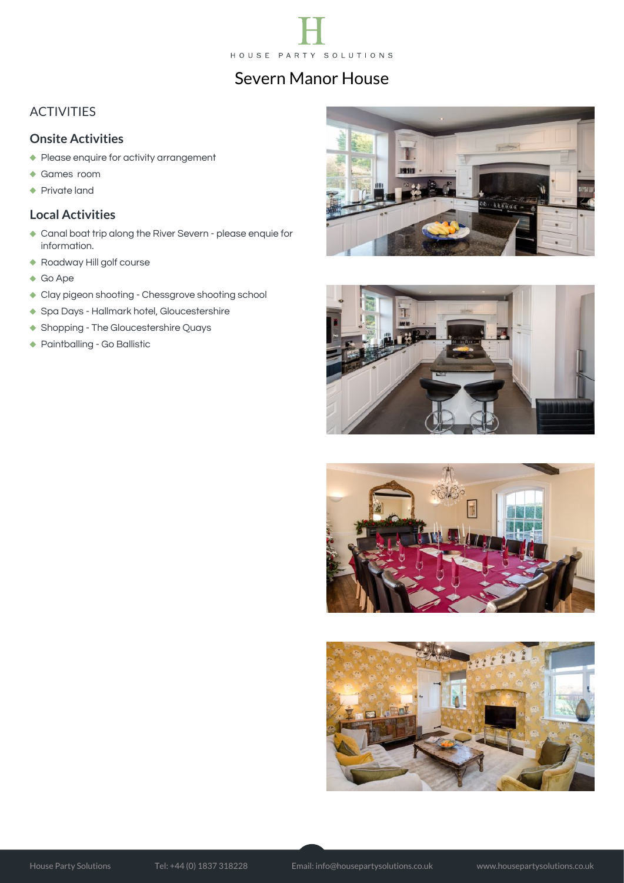

#### ACTIVITIES

#### **Onsite Activities**

- Please enquire for activity arrangement
- Games room
- ◆ Private land

#### **Local Activities**

- Canal boat trip along the River Severn please enquie for information.
- Roadway Hill golf course
- ◆ Go Ape
- Clay pigeon shooting Chessgrove shooting school
- ◆ Spa Days Hallmark hotel, Gloucestershire
- ◆ Shopping The Gloucestershire Quays
- Paintballing Go Ballistic







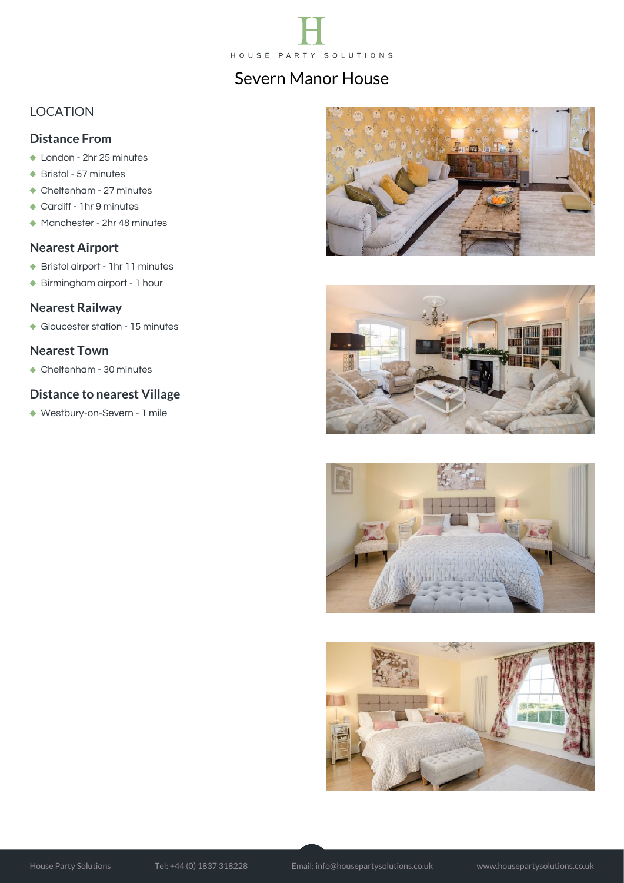

### LOCATION

#### **Distance From**

- ◆ London 2hr 25 minutes
- ◆ Bristol 57 minutes
- Cheltenham 27 minutes
- ◆ Cardiff 1hr 9 minutes
- Manchester 2hr 48 minutes

#### **Nearest Airport**

- Bristol airport 1hr 11 minutes
- Birmingham airport 1 hour

#### **Nearest Railway**

Gloucester station - 15 minutes

#### **Nearest Town**

Cheltenham - 30 minutes

#### **Distance to nearest Village**

Westbury-on-Severn - 1 mile







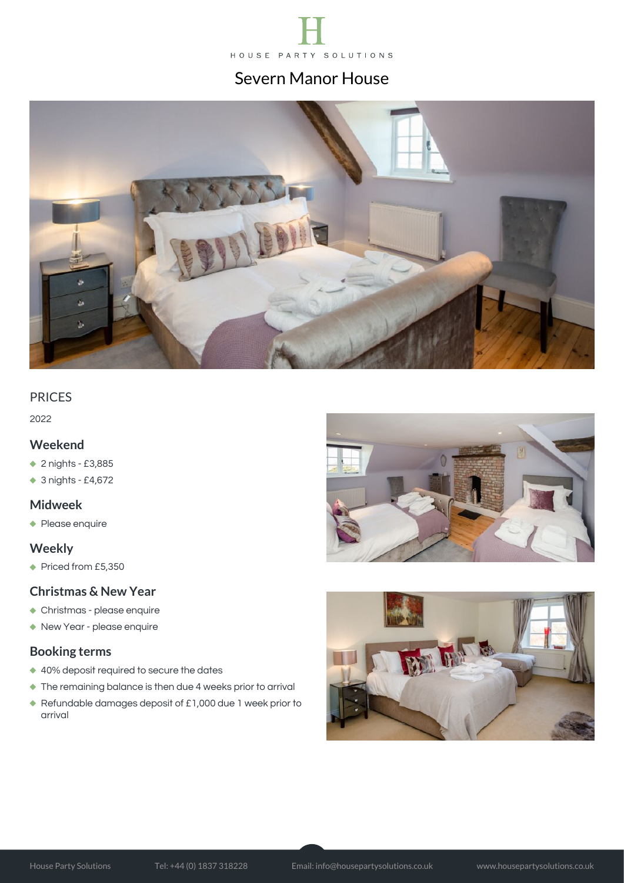



#### PRICES

2022

#### **Weekend**

- ◆ 2 nights £3,885
- ◆ 3 nights £4,672

#### **Midweek**

◆ Please enquire

#### **Weekly**

◆ Priced from £5,350

#### **Christmas & New Year**

- Christmas please enquire
- New Year please enquire

#### **Booking terms**

- ◆ 40% deposit required to secure the dates
- The remaining balance is then due 4 weeks prior to arrival
- Refundable damages deposit of £1,000 due 1 week prior to arrival